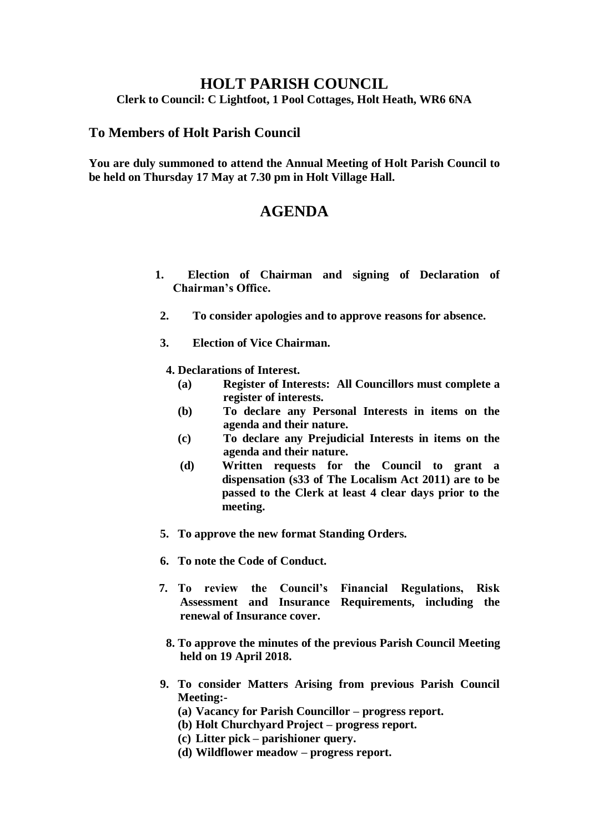## **HOLT PARISH COUNCIL**

**Clerk to Council: C Lightfoot, 1 Pool Cottages, Holt Heath, WR6 6NA**

## **To Members of Holt Parish Council**

**You are duly summoned to attend the Annual Meeting of Holt Parish Council to be held on Thursday 17 May at 7.30 pm in Holt Village Hall.**

## **AGENDA**

- **1. Election of Chairman and signing of Declaration of Chairman's Office.**
- **2. To consider apologies and to approve reasons for absence.**
- **3. Election of Vice Chairman.**
	- **4. Declarations of Interest.**
		- **(a) Register of Interests: All Councillors must complete a register of interests.**
		- **(b) To declare any Personal Interests in items on the agenda and their nature.**
		- **(c) To declare any Prejudicial Interests in items on the agenda and their nature.**
		- **(d) Written requests for the Council to grant a dispensation (s33 of The Localism Act 2011) are to be passed to the Clerk at least 4 clear days prior to the meeting.**
- **5. To approve the new format Standing Orders.**
- **6. To note the Code of Conduct.**
- **7. To review the Council's Financial Regulations, Risk Assessment and Insurance Requirements, including the renewal of Insurance cover.**
	- **8. To approve the minutes of the previous Parish Council Meeting held on 19 April 2018.**
- **9. To consider Matters Arising from previous Parish Council Meeting:-**
	- **(a) Vacancy for Parish Councillor – progress report.**
	- **(b) Holt Churchyard Project – progress report.**
	- **(c) Litter pick – parishioner query.**
	- **(d) Wildflower meadow – progress report.**